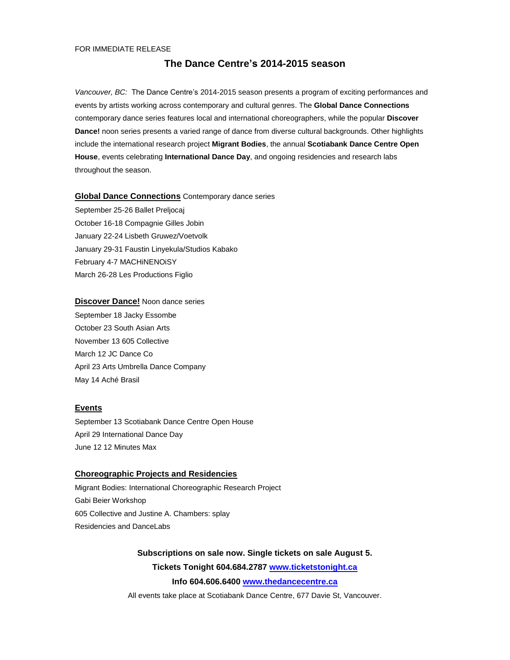#### FOR IMMEDIATE RELEASE

# **The Dance Centre's 2014-2015 season**

*Vancouver, BC:* The Dance Centre's 2014-2015 season presents a program of exciting performances and events by artists working across contemporary and cultural genres. The **Global Dance Connections** contemporary dance series features local and international choreographers, while the popular **Discover Dance!** noon series presents a varied range of dance from diverse cultural backgrounds. Other highlights include the international research project **Migrant Bodies**, the annual **Scotiabank Dance Centre Open House**, events celebrating **International Dance Day**, and ongoing residencies and research labs throughout the season.

# **Global Dance Connections** Contemporary dance series

September 25-26 Ballet Preljocaj October 16-18 Compagnie Gilles Jobin January 22-24 Lisbeth Gruwez/Voetvolk January 29-31 Faustin Linyekula/Studios Kabako February 4-7 MACHiNENOiSY March 26-28 Les Productions Figlio

# **Discover Dance!** Noon dance series

September 18 Jacky Essombe October 23 South Asian Arts November 13 605 Collective March 12 JC Dance Co April 23 Arts Umbrella Dance Company May 14 Aché Brasil

# **Events**

September 13 Scotiabank Dance Centre Open House April 29 International Dance Day June 12 12 Minutes Max

# **Choreographic Projects and Residencies**

Migrant Bodies: International Choreographic Research Project Gabi Beier Workshop 605 Collective and Justine A. Chambers: splay Residencies and DanceLabs

# **Subscriptions on sale now. Single tickets on sale August 5. Tickets Tonight 604.684.2787 [www.ticketstonight.ca](http://www.ticketstonight.ca/) Info 604.606.6400 [www.thedancecentre.ca](http://www.thedancecentre.ca/)**

All events take place at Scotiabank Dance Centre, 677 Davie St, Vancouver.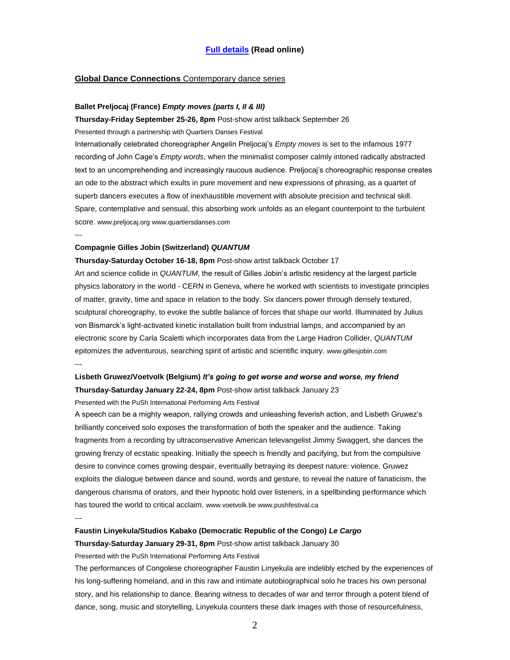# **[Full details](http://thedancecentre.ca/announcing_the_dance_centre_s_2014_2015_season) (Read online)**

# **Global Dance Connections** Contemporary dance series

#### **Ballet Preljocaj (France)** *Empty moves (parts I, II & III)*

**Thursday-Friday September 25-26, 8pm** Post-show artist talkback September 26

Presented through a partnership with Quartiers Danses Festival

Internationally celebrated choreographer Angelin Preljocaj's *Empty moves* is set to the infamous 1977 recording of John Cage's *Empty words*, when the minimalist composer calmly intoned radically abstracted text to an uncomprehending and increasingly raucous audience. Preljocaj's choreographic response creates an ode to the abstract which exults in pure movement and new expressions of phrasing, as a quartet of superb dancers executes a flow of inexhaustible movement with absolute precision and technical skill. Spare, contemplative and sensual, this absorbing work unfolds as an elegant counterpoint to the turbulent score. www.preljocaj.org www.quartiersdanses.com

---

# **Compagnie Gilles Jobin (Switzerland)** *QUANTUM*

#### **Thursday-Saturday October 16-18, 8pm** Post-show artist talkback October 17

Art and science collide in *QUANTUM*, the result of Gilles Jobin's artistic residency at the largest particle physics laboratory in the world - CERN in Geneva, where he worked with scientists to investigate principles of matter, gravity, time and space in relation to the body. Six dancers power through densely textured, sculptural choreography, to evoke the subtle balance of forces that shape our world. Illuminated by Julius von Bismarck's light-activated kinetic installation built from industrial lamps, and accompanied by an electronic score by Carla Scaletti which incorporates data from the Large Hadron Collider, *QUANTUM* epitomizes the adventurous, searching spirit of artistic and scientific inquiry. www.gillesjobin.com ---

# **Lisbeth Gruwez/Voetvolk (Belgium)** *It's going to get worse and worse and worse, my friend* **Thursday-Saturday January 22-24, 8pm** Post-show artist talkback January 23

Presented with the PuSh International Performing Arts Festival

A speech can be a mighty weapon, rallying crowds and unleashing feverish action, and Lisbeth Gruwez's brilliantly conceived solo exposes the transformation of both the speaker and the audience. Taking fragments from a recording by ultraconservative American televangelist Jimmy Swaggert, she dances the growing frenzy of ecstatic speaking. Initially the speech is friendly and pacifying, but from the compulsive desire to convince comes growing despair, eventually betraying its deepest nature: violence. Gruwez exploits the dialogue between dance and sound, words and gesture, to reveal the nature of fanaticism, the dangerous charisma of orators, and their hypnotic hold over listeners, in a spellbinding performance which has toured the world to critical acclaim. www.voetvolk.be www.pushfestival.ca

---

# **Faustin Linyekula/Studios Kabako (Democratic Republic of the Congo)** *Le Cargo*

**Thursday-Saturday January 29-31, 8pm** Post-show artist talkback January 30

Presented with the PuSh International Performing Arts Festival

The performances of Congolese choreographer Faustin Linyekula are indelibly etched by the experiences of his long-suffering homeland, and in this raw and intimate autobiographical solo he traces his own personal story, and his relationship to dance. Bearing witness to decades of war and terror through a potent blend of dance, song, music and storytelling, Linyekula counters these dark images with those of resourcefulness,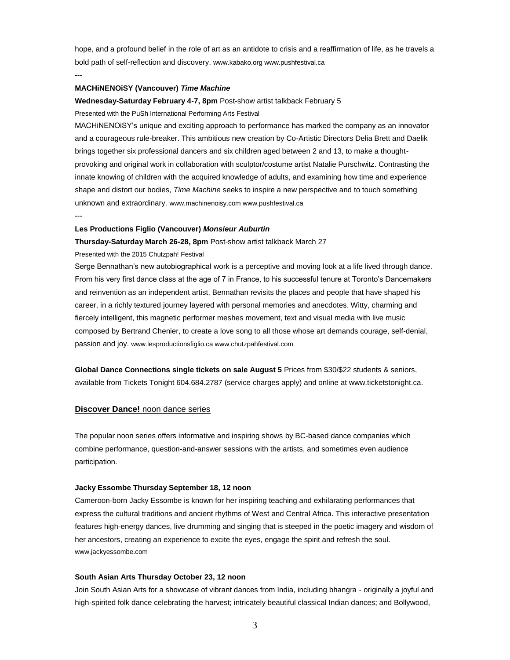hope, and a profound belief in the role of art as an antidote to crisis and a reaffirmation of life, as he travels a bold path of self-reflection and discovery. www.kabako.org www.pushfestival.ca ---

#### **MACHiNENOiSY (Vancouver)** *Time Machine*

**Wednesday-Saturday February 4-7, 8pm** Post-show artist talkback February 5 Presented with the PuSh International Performing Arts Festival

MACHiNENOiSY's unique and exciting approach to performance has marked the company as an innovator and a courageous rule-breaker. This ambitious new creation by Co-Artistic Directors Delia Brett and Daelik brings together six professional dancers and six children aged between 2 and 13, to make a thoughtprovoking and original work in collaboration with sculptor/costume artist Natalie Purschwitz. Contrasting the innate knowing of children with the acquired knowledge of adults, and examining how time and experience shape and distort our bodies, *Time Machine* seeks to inspire a new perspective and to touch something unknown and extraordinary. www.machinenoisy.com www.pushfestival.ca

---

## **Les Productions Figlio (Vancouver)** *Monsieur Auburtin*

**Thursday-Saturday March 26-28, 8pm** Post-show artist talkback March 27

Presented with the 2015 Chutzpah! Festival

Serge Bennathan's new autobiographical work is a perceptive and moving look at a life lived through dance. From his very first dance class at the age of 7 in France, to his successful tenure at Toronto's Dancemakers and reinvention as an independent artist, Bennathan revisits the places and people that have shaped his career, in a richly textured journey layered with personal memories and anecdotes. Witty, charming and fiercely intelligent, this magnetic performer meshes movement, text and visual media with live music composed by Bertrand Chenier, to create a love song to all those whose art demands courage, self-denial, passion and joy. www.lesproductionsfiglio.ca www.chutzpahfestival.com

**Global Dance Connections single tickets on sale August 5** Prices from \$30/\$22 students & seniors, available from Tickets Tonight 604.684.2787 (service charges apply) and online at www.ticketstonight.ca.

#### **Discover Dance!** noon dance series

The popular noon series offers informative and inspiring shows by BC-based dance companies which combine performance, question-and-answer sessions with the artists, and sometimes even audience participation.

#### **Jacky Essombe Thursday September 18, 12 noon**

Cameroon-born Jacky Essombe is known for her inspiring teaching and exhilarating performances that express the cultural traditions and ancient rhythms of West and Central Africa. This interactive presentation features high-energy dances, live drumming and singing that is steeped in the poetic imagery and wisdom of her ancestors, creating an experience to excite the eyes, engage the spirit and refresh the soul. www.jackyessombe.com

#### **South Asian Arts Thursday October 23, 12 noon**

Join South Asian Arts for a showcase of vibrant dances from India, including bhangra - originally a joyful and high-spirited folk dance celebrating the harvest; intricately beautiful classical Indian dances; and Bollywood,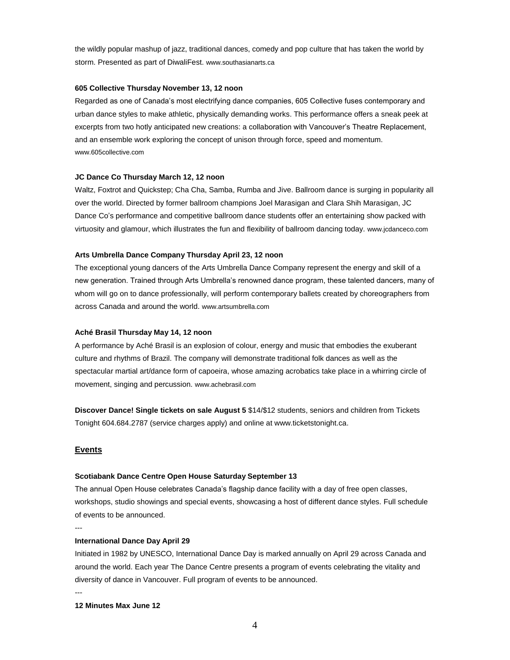the wildly popular mashup of jazz, traditional dances, comedy and pop culture that has taken the world by storm. Presented as part of DiwaliFest. www.southasianarts.ca

#### **605 Collective Thursday November 13, 12 noon**

Regarded as one of Canada's most electrifying dance companies, 605 Collective fuses contemporary and urban dance styles to make athletic, physically demanding works. This performance offers a sneak peek at excerpts from two hotly anticipated new creations: a collaboration with Vancouver's Theatre Replacement, and an ensemble work exploring the concept of unison through force, speed and momentum. www.605collective.com

## **JC Dance Co Thursday March 12, 12 noon**

Waltz, Foxtrot and Quickstep; Cha Cha, Samba, Rumba and Jive. Ballroom dance is surging in popularity all over the world. Directed by former ballroom champions Joel Marasigan and Clara Shih Marasigan, JC Dance Co's performance and competitive ballroom dance students offer an entertaining show packed with virtuosity and glamour, which illustrates the fun and flexibility of ballroom dancing today. www.jcdanceco.com

#### **Arts Umbrella Dance Company Thursday April 23, 12 noon**

The exceptional young dancers of the Arts Umbrella Dance Company represent the energy and skill of a new generation. Trained through Arts Umbrella's renowned dance program, these talented dancers, many of whom will go on to dance professionally, will perform contemporary ballets created by choreographers from across Canada and around the world. www.artsumbrella.com

#### **Aché Brasil Thursday May 14, 12 noon**

A performance by Aché Brasil is an explosion of colour, energy and music that embodies the exuberant culture and rhythms of Brazil. The company will demonstrate traditional folk dances as well as the spectacular martial art/dance form of capoeira, whose amazing acrobatics take place in a whirring circle of movement, singing and percussion. www.achebrasil.com

**Discover Dance! Single tickets on sale August 5** \$14/\$12 students, seniors and children from Tickets Tonight 604.684.2787 (service charges apply) and online at www.ticketstonight.ca.

## **Events**

#### **Scotiabank Dance Centre Open House Saturday September 13**

The annual Open House celebrates Canada's flagship dance facility with a day of free open classes, workshops, studio showings and special events, showcasing a host of different dance styles. Full schedule of events to be announced.

---

#### **International Dance Day April 29**

Initiated in 1982 by UNESCO, International Dance Day is marked annually on April 29 across Canada and around the world. Each year The Dance Centre presents a program of events celebrating the vitality and diversity of dance in Vancouver. Full program of events to be announced.

---

**12 Minutes Max June 12**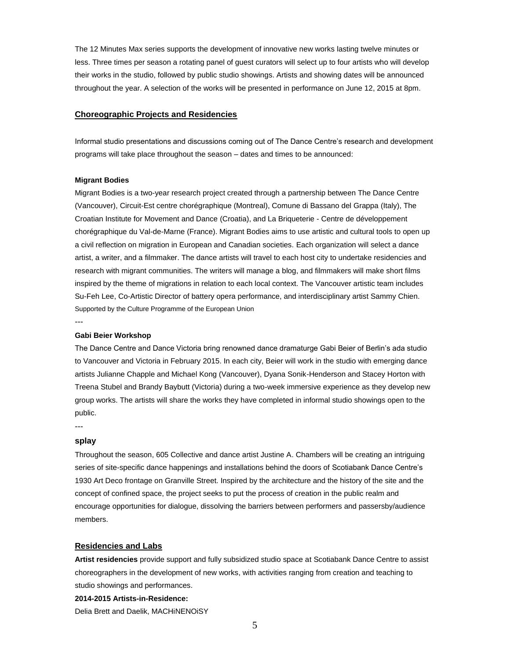The 12 Minutes Max series supports the development of innovative new works lasting twelve minutes or less. Three times per season a rotating panel of guest curators will select up to four artists who will develop their works in the studio, followed by public studio showings. Artists and showing dates will be announced throughout the year. A selection of the works will be presented in performance on June 12, 2015 at 8pm.

# **Choreographic Projects and Residencies**

Informal studio presentations and discussions coming out of The Dance Centre's research and development programs will take place throughout the season – dates and times to be announced:

#### **Migrant Bodies**

Migrant Bodies is a two-year research project created through a partnership between The Dance Centre (Vancouver), Circuit-Est centre chorégraphique (Montreal), Comune di Bassano del Grappa (Italy), The Croatian Institute for Movement and Dance (Croatia), and La Briqueterie - Centre de développement chorégraphique du Val-de-Marne (France). Migrant Bodies aims to use artistic and cultural tools to open up a civil reflection on migration in European and Canadian societies. Each organization will select a dance artist, a writer, and a filmmaker. The dance artists will travel to each host city to undertake residencies and research with migrant communities. The writers will manage a blog, and filmmakers will make short films inspired by the theme of migrations in relation to each local context. The Vancouver artistic team includes Su-Feh Lee, Co-Artistic Director of battery opera performance, and interdisciplinary artist Sammy Chien. Supported by the Culture Programme of the European Union

---

#### **Gabi Beier Workshop**

The Dance Centre and Dance Victoria bring renowned dance dramaturge Gabi Beier of Berlin's ada studio to Vancouver and Victoria in February 2015. In each city, Beier will work in the studio with emerging dance artists Julianne Chapple and Michael Kong (Vancouver), Dyana Sonik-Henderson and Stacey Horton with Treena Stubel and Brandy Baybutt (Victoria) during a two-week immersive experience as they develop new group works. The artists will share the works they have completed in informal studio showings open to the public.

---

# **splay**

Throughout the season, 605 Collective and dance artist Justine A. Chambers will be creating an intriguing series of site-specific dance happenings and installations behind the doors of Scotiabank Dance Centre's 1930 Art Deco frontage on Granville Street. Inspired by the architecture and the history of the site and the concept of confined space, the project seeks to put the process of creation in the public realm and encourage opportunities for dialogue, dissolving the barriers between performers and passersby/audience members.

# **Residencies and Labs**

**Artist residencies** provide support and fully subsidized studio space at Scotiabank Dance Centre to assist choreographers in the development of new works, with activities ranging from creation and teaching to studio showings and performances.

**2014-2015 Artists-in-Residence:**

Delia Brett and Daelik, MACHiNENOiSY